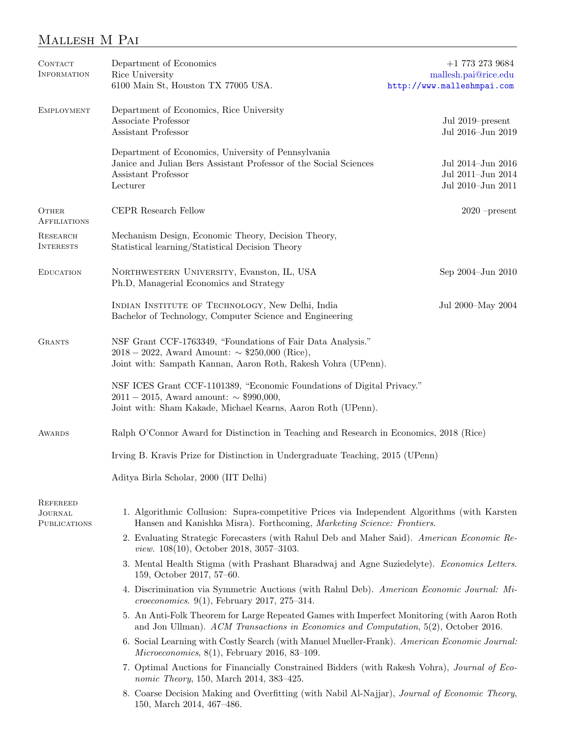## Mallesh M Pai

| <b>CONTACT</b><br><b>INFORMATION</b>                     | Department of Economics<br>Rice University<br>6100 Main St, Houston TX 77005 USA.                                                                                                         | $+1$ 773 273 9684<br>mallesh.pai@rice.edu<br>http://www.malleshmpai.com |  |  |  |
|----------------------------------------------------------|-------------------------------------------------------------------------------------------------------------------------------------------------------------------------------------------|-------------------------------------------------------------------------|--|--|--|
| <b>EMPLOYMENT</b>                                        | Department of Economics, Rice University<br>Associate Professor<br>Jul 2019–present<br>Assistant Professor<br>Jul 2016-Jun 2019                                                           |                                                                         |  |  |  |
|                                                          | Department of Economics, University of Pennsylvania<br>Janice and Julian Bers Assistant Professor of the Social Sciences<br>Assistant Professor<br>Lecturer                               | Jul 2014-Jun 2016<br>Jul 2011-Jun 2014<br>Jul 2010-Jun 2011             |  |  |  |
| <b>OTHER</b><br><b>AFFILIATIONS</b>                      | CEPR Research Fellow                                                                                                                                                                      | $2020$ -present                                                         |  |  |  |
| <b>RESEARCH</b><br><b>INTERESTS</b>                      | Mechanism Design, Economic Theory, Decision Theory,<br>Statistical learning/Statistical Decision Theory                                                                                   |                                                                         |  |  |  |
| <b>EDUCATION</b>                                         | NORTHWESTERN UNIVERSITY, Evanston, IL, USA<br>Ph.D, Managerial Economics and Strategy                                                                                                     | Sep 2004-Jun 2010                                                       |  |  |  |
|                                                          | INDIAN INSTITUTE OF TECHNOLOGY, New Delhi, India<br>Bachelor of Technology, Computer Science and Engineering                                                                              | Jul 2000-May 2004                                                       |  |  |  |
| <b>GRANTS</b>                                            | NSF Grant CCF-1763349, "Foundations of Fair Data Analysis."<br>$2018 - 2022$ , Award Amount: $\sim$ \$250,000 (Rice),<br>Joint with: Sampath Kannan, Aaron Roth, Rakesh Vohra (UPenn).    |                                                                         |  |  |  |
|                                                          | NSF ICES Grant CCF-1101389, "Economic Foundations of Digital Privacy."<br>$2011 - 2015$ , Award amount: $\sim$ \$990,000,<br>Joint with: Sham Kakade, Michael Kearns, Aaron Roth (UPenn). |                                                                         |  |  |  |
| <b>AWARDS</b>                                            | Ralph O'Connor Award for Distinction in Teaching and Research in Economics, 2018 (Rice)                                                                                                   |                                                                         |  |  |  |
|                                                          | Irving B. Kravis Prize for Distinction in Undergraduate Teaching, 2015 (UPenn)                                                                                                            |                                                                         |  |  |  |
|                                                          | Aditya Birla Scholar, 2000 (IIT Delhi)                                                                                                                                                    |                                                                         |  |  |  |
| <b>REFEREED</b><br><b>JOURNAL</b><br><b>PUBLICATIONS</b> | 1. Algorithmic Collusion: Supra-competitive Prices via Independent Algorithms (with Karsten<br>Hansen and Kanishka Misra). Forthcoming, Marketing Science: Frontiers.                     |                                                                         |  |  |  |
|                                                          | 2. Evaluating Strategic Forecasters (with Rahul Deb and Maher Said). American Economic Re-<br><i>view.</i> 108(10), October 2018, 3057-3103.                                              |                                                                         |  |  |  |
|                                                          | 3. Mental Health Stigma (with Prashant Bharadwaj and Agne Suziedelyte). Economics Letters.<br>159, October 2017, 57-60.                                                                   |                                                                         |  |  |  |
|                                                          | 4. Discrimination via Symmetric Auctions (with Rahul Deb). American Economic Journal: Mi-<br><i>croeconomics.</i> 9(1), February 2017, 275-314.                                           |                                                                         |  |  |  |
|                                                          | 5. An Anti-Folk Theorem for Large Repeated Games with Imperfect Monitoring (with Aaron Roth<br>and Jon Ullman). ACM Transactions in Economics and Computation, 5(2), October 2016.        |                                                                         |  |  |  |
|                                                          | 6. Social Learning with Costly Search (with Manuel Mueller-Frank). American Economic Journal:<br>Microeconomics, $8(1)$ , February 2016, 83-109.                                          |                                                                         |  |  |  |
|                                                          | 7. Optimal Auctions for Financially Constrained Bidders (with Rakesh Vohra), Journal of Eco-<br>nomic Theory, 150, March 2014, 383-425.                                                   |                                                                         |  |  |  |
|                                                          | 8. Coarse Decision Making and Overfitting (with Nabil Al-Najjar), Journal of Economic Theory,<br>150, March 2014, 467-486.                                                                |                                                                         |  |  |  |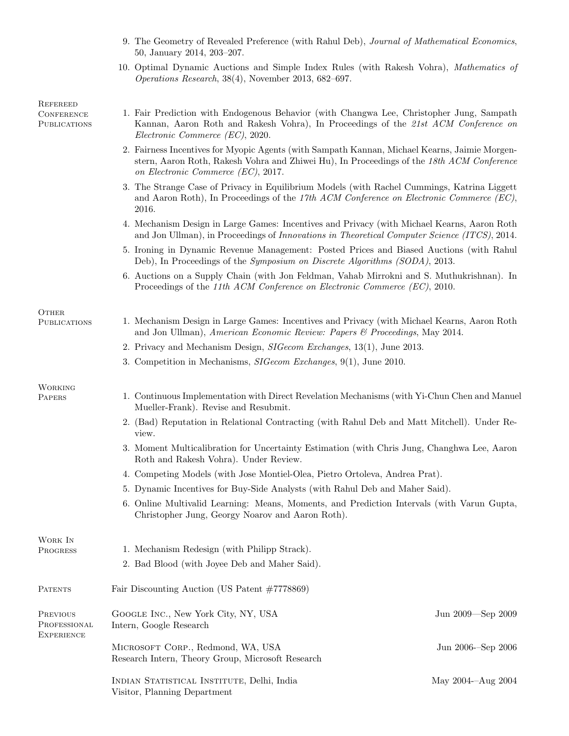|                                          | 9. The Geometry of Revealed Preference (with Rahul Deb), Journal of Mathematical Economics,<br>50, January 2014, 203-207.                                                                                                        |                    |  |  |
|------------------------------------------|----------------------------------------------------------------------------------------------------------------------------------------------------------------------------------------------------------------------------------|--------------------|--|--|
|                                          | 10. Optimal Dynamic Auctions and Simple Index Rules (with Rakesh Vohra), Mathematics of<br><i>Operations Research</i> , 38(4), November 2013, 682–697.                                                                           |                    |  |  |
| REFEREED                                 |                                                                                                                                                                                                                                  |                    |  |  |
| <b>CONFERENCE</b><br><b>PUBLICATIONS</b> | 1. Fair Prediction with Endogenous Behavior (with Changwa Lee, Christopher Jung, Sampath<br>Kannan, Aaron Roth and Rakesh Vohra), In Proceedings of the 21st ACM Conference on<br>Electronic Commerce (EC), 2020.                |                    |  |  |
|                                          | 2. Fairness Incentives for Myopic Agents (with Sampath Kannan, Michael Kearns, Jaimie Morgen-<br>stern, Aaron Roth, Rakesh Vohra and Zhiwei Hu), In Proceedings of the 18th ACM Conference<br>on Electronic Commerce (EC), 2017. |                    |  |  |
|                                          | 3. The Strange Case of Privacy in Equilibrium Models (with Rachel Cummings, Katrina Liggett<br>and Aaron Roth), In Proceedings of the 17th ACM Conference on Electronic Commerce (EC),<br>2016.                                  |                    |  |  |
|                                          | 4. Mechanism Design in Large Games: Incentives and Privacy (with Michael Kearns, Aaron Roth<br>and Jon Ullman), in Proceedings of Innovations in Theoretical Computer Science (ITCS), 2014.                                      |                    |  |  |
|                                          | 5. Ironing in Dynamic Revenue Management: Posted Prices and Biased Auctions (with Rahul<br>Deb), In Proceedings of the Symposium on Discrete Algorithms (SODA), 2013.                                                            |                    |  |  |
|                                          | 6. Auctions on a Supply Chain (with Jon Feldman, Vahab Mirrokni and S. Muthukrishnan). In<br>Proceedings of the 11th ACM Conference on Electronic Commerce (EC), 2010.                                                           |                    |  |  |
| <b>OTHER</b>                             |                                                                                                                                                                                                                                  |                    |  |  |
| <b>PUBLICATIONS</b>                      | 1. Mechanism Design in Large Games: Incentives and Privacy (with Michael Kearns, Aaron Roth<br>and Jon Ullman), American Economic Review: Papers & Proceedings, May 2014.                                                        |                    |  |  |
|                                          | 2. Privacy and Mechanism Design, <i>SIGecom Exchanges</i> , 13(1), June 2013.                                                                                                                                                    |                    |  |  |
|                                          | 3. Competition in Mechanisms, <i>SIGecom Exchanges</i> , 9(1), June 2010.                                                                                                                                                        |                    |  |  |
| <b>WORKING</b><br>PAPERS                 | 1. Continuous Implementation with Direct Revelation Mechanisms (with Yi-Chun Chen and Manuel<br>Mueller-Frank). Revise and Resubmit.                                                                                             |                    |  |  |
|                                          | 2. (Bad) Reputation in Relational Contracting (with Rahul Deb and Matt Mitchell). Under Re-<br>view.                                                                                                                             |                    |  |  |
|                                          | 3. Moment Multicalibration for Uncertainty Estimation (with Chris Jung, Changhwa Lee, Aaron<br>Roth and Rakesh Vohra). Under Review.                                                                                             |                    |  |  |
|                                          | 4. Competing Models (with Jose Montiel-Olea, Pietro Ortoleva, Andrea Prat).                                                                                                                                                      |                    |  |  |
|                                          | 5. Dynamic Incentives for Buy-Side Analysts (with Rahul Deb and Maher Said).                                                                                                                                                     |                    |  |  |
|                                          | 6. Online Multivalid Learning: Means, Moments, and Prediction Intervals (with Varun Gupta,<br>Christopher Jung, Georgy Noarov and Aaron Roth).                                                                                   |                    |  |  |
| WORK IN<br>PROGRESS                      | 1. Mechanism Redesign (with Philipp Strack).                                                                                                                                                                                     |                    |  |  |
|                                          | 2. Bad Blood (with Joyee Deb and Maher Said).                                                                                                                                                                                    |                    |  |  |
|                                          |                                                                                                                                                                                                                                  |                    |  |  |
| <b>PATENTS</b>                           | Fair Discounting Auction (US Patent $\#7778869$ )                                                                                                                                                                                |                    |  |  |
| PREVIOUS<br>PROFESSIONAL<br>Experience   | GOOGLE INC., New York City, NY, USA<br>Intern, Google Research                                                                                                                                                                   | Jun 2009—Sep 2009  |  |  |
|                                          | MICROSOFT CORP., Redmond, WA, USA<br>Research Intern, Theory Group, Microsoft Research                                                                                                                                           | Jun 2006-Sep 2006  |  |  |
|                                          | INDIAN STATISTICAL INSTITUTE, Delhi, India<br>Visitor, Planning Department                                                                                                                                                       | May 2004--Aug 2004 |  |  |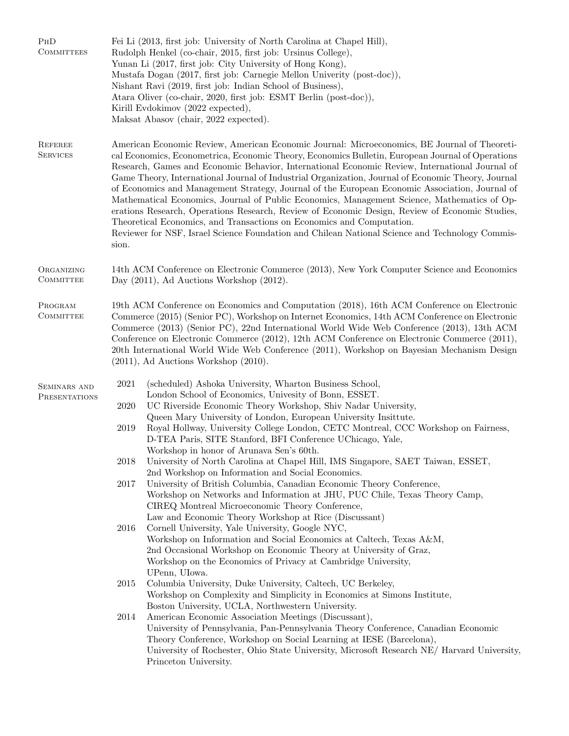| PHD<br><b>COMMITTEES</b>          | Fei Li (2013, first job: University of North Carolina at Chapel Hill),<br>Rudolph Henkel (co-chair, 2015, first job: Ursinus College),<br>Yunan Li (2017, first job: City University of Hong Kong),<br>Mustafa Dogan (2017, first job: Carnegie Mellon Univerity (post-doc)),<br>Nishant Ravi (2019, first job: Indian School of Business),<br>Atara Oliver (co-chair, 2020, first job: ESMT Berlin (post-doc)),<br>Kirill Evdokimov (2022 expected),<br>Maksat Abasov (chair, 2022 expected).                                                                                                                                                                                                                                                                                                                                                                                                   |                                                                                                                                                                                              |  |
|-----------------------------------|--------------------------------------------------------------------------------------------------------------------------------------------------------------------------------------------------------------------------------------------------------------------------------------------------------------------------------------------------------------------------------------------------------------------------------------------------------------------------------------------------------------------------------------------------------------------------------------------------------------------------------------------------------------------------------------------------------------------------------------------------------------------------------------------------------------------------------------------------------------------------------------------------|----------------------------------------------------------------------------------------------------------------------------------------------------------------------------------------------|--|
| <b>REFEREE</b><br><b>SERVICES</b> | American Economic Review, American Economic Journal: Microeconomics, BE Journal of Theoreti-<br>cal Economics, Econometrica, Economic Theory, Economics Bulletin, European Journal of Operations<br>Research, Games and Economic Behavior, International Economic Review, International Journal of<br>Game Theory, International Journal of Industrial Organization, Journal of Economic Theory, Journal<br>of Economics and Management Strategy, Journal of the European Economic Association, Journal of<br>Mathematical Economics, Journal of Public Economics, Management Science, Mathematics of Op-<br>erations Research, Operations Research, Review of Economic Design, Review of Economic Studies,<br>Theoretical Economics, and Transactions on Economics and Computation.<br>Reviewer for NSF, Israel Science Foundation and Chilean National Science and Technology Commis-<br>sion. |                                                                                                                                                                                              |  |
| ORGANIZING<br><b>COMMITTEE</b>    | 14th ACM Conference on Electronic Commerce (2013), New York Computer Science and Economics<br>Day $(2011)$ , Ad Auctions Workshop $(2012)$ .                                                                                                                                                                                                                                                                                                                                                                                                                                                                                                                                                                                                                                                                                                                                                     |                                                                                                                                                                                              |  |
| PROGRAM<br>COMMITTEE              | 19th ACM Conference on Economics and Computation (2018), 16th ACM Conference on Electronic<br>Commerce (2015) (Senior PC), Workshop on Internet Economics, 14th ACM Conference on Electronic<br>Commerce (2013) (Senior PC), 22nd International World Wide Web Conference (2013), 13th ACM<br>Conference on Electronic Commerce (2012), 12th ACM Conference on Electronic Commerce (2011),<br>20th International World Wide Web Conference (2011), Workshop on Bayesian Mechanism Design<br>$(2011)$ , Ad Auctions Workshop $(2010)$ .                                                                                                                                                                                                                                                                                                                                                           |                                                                                                                                                                                              |  |
| <b>SEMINARS AND</b>               | 2021                                                                                                                                                                                                                                                                                                                                                                                                                                                                                                                                                                                                                                                                                                                                                                                                                                                                                             | (scheduled) Ashoka University, Wharton Business School,                                                                                                                                      |  |
| PRESENTATIONS                     | 2020                                                                                                                                                                                                                                                                                                                                                                                                                                                                                                                                                                                                                                                                                                                                                                                                                                                                                             | London School of Economics, Univesity of Bonn, ESSET.<br>UC Riverside Economic Theory Workshop, Shiv Nadar University,                                                                       |  |
|                                   |                                                                                                                                                                                                                                                                                                                                                                                                                                                                                                                                                                                                                                                                                                                                                                                                                                                                                                  | Queen Mary University of London, European University Insittute.                                                                                                                              |  |
|                                   | 2019                                                                                                                                                                                                                                                                                                                                                                                                                                                                                                                                                                                                                                                                                                                                                                                                                                                                                             | Royal Hollway, University College London, CETC Montreal, CCC Workshop on Fairness,<br>D-TEA Paris, SITE Stanford, BFI Conference UChicago, Yale,<br>Workshop in honor of Arunava Sen's 60th. |  |
|                                   | 2018                                                                                                                                                                                                                                                                                                                                                                                                                                                                                                                                                                                                                                                                                                                                                                                                                                                                                             | University of North Carolina at Chapel Hill, IMS Singapore, SAET Taiwan, ESSET,<br>2nd Workshop on Information and Social Economics.                                                         |  |
|                                   | 2017                                                                                                                                                                                                                                                                                                                                                                                                                                                                                                                                                                                                                                                                                                                                                                                                                                                                                             | University of British Columbia, Canadian Economic Theory Conference,                                                                                                                         |  |
|                                   |                                                                                                                                                                                                                                                                                                                                                                                                                                                                                                                                                                                                                                                                                                                                                                                                                                                                                                  | Workshop on Networks and Information at JHU, PUC Chile, Texas Theory Camp,<br>CIREQ Montreal Microeconomic Theory Conference,                                                                |  |
|                                   |                                                                                                                                                                                                                                                                                                                                                                                                                                                                                                                                                                                                                                                                                                                                                                                                                                                                                                  | Law and Economic Theory Workshop at Rice (Discussant)                                                                                                                                        |  |
|                                   | 2016                                                                                                                                                                                                                                                                                                                                                                                                                                                                                                                                                                                                                                                                                                                                                                                                                                                                                             | Cornell University, Yale University, Google NYC,                                                                                                                                             |  |
|                                   |                                                                                                                                                                                                                                                                                                                                                                                                                                                                                                                                                                                                                                                                                                                                                                                                                                                                                                  | Workshop on Information and Social Economics at Caltech, Texas A&M,<br>2nd Occasional Workshop on Economic Theory at University of Graz,                                                     |  |
|                                   |                                                                                                                                                                                                                                                                                                                                                                                                                                                                                                                                                                                                                                                                                                                                                                                                                                                                                                  | Workshop on the Economics of Privacy at Cambridge University,                                                                                                                                |  |
|                                   |                                                                                                                                                                                                                                                                                                                                                                                                                                                                                                                                                                                                                                                                                                                                                                                                                                                                                                  | UPenn, UIowa.                                                                                                                                                                                |  |
|                                   | 2015                                                                                                                                                                                                                                                                                                                                                                                                                                                                                                                                                                                                                                                                                                                                                                                                                                                                                             | Columbia University, Duke University, Caltech, UC Berkeley,                                                                                                                                  |  |
|                                   |                                                                                                                                                                                                                                                                                                                                                                                                                                                                                                                                                                                                                                                                                                                                                                                                                                                                                                  | Workshop on Complexity and Simplicity in Economics at Simons Institute,<br>Boston University, UCLA, Northwestern University.                                                                 |  |
|                                   | 2014                                                                                                                                                                                                                                                                                                                                                                                                                                                                                                                                                                                                                                                                                                                                                                                                                                                                                             | American Economic Association Meetings (Discussant),                                                                                                                                         |  |
|                                   |                                                                                                                                                                                                                                                                                                                                                                                                                                                                                                                                                                                                                                                                                                                                                                                                                                                                                                  | University of Pennsylvania, Pan-Pennsylvania Theory Conference, Canadian Economic                                                                                                            |  |
|                                   |                                                                                                                                                                                                                                                                                                                                                                                                                                                                                                                                                                                                                                                                                                                                                                                                                                                                                                  | Theory Conference, Workshop on Social Learning at IESE (Barcelona),                                                                                                                          |  |
|                                   |                                                                                                                                                                                                                                                                                                                                                                                                                                                                                                                                                                                                                                                                                                                                                                                                                                                                                                  | University of Rochester, Ohio State University, Microsoft Research NE/ Harvard University,<br>Princeton University.                                                                          |  |